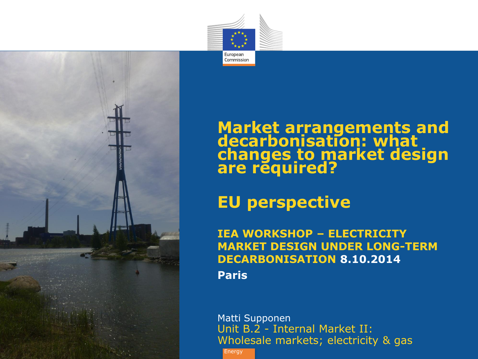



#### **Market arrangements and decarbonisation: what changes to market design are required?**

#### **EU perspective**

**IEA WORKSHOP – ELECTRICITY MARKET DESIGN UNDER LONG-TERM DECARBONISATION 8.10.2014 Paris**

Matti Supponen Unit B.2 - Internal Market II: Wholesale markets; electricity & gas

**Energy**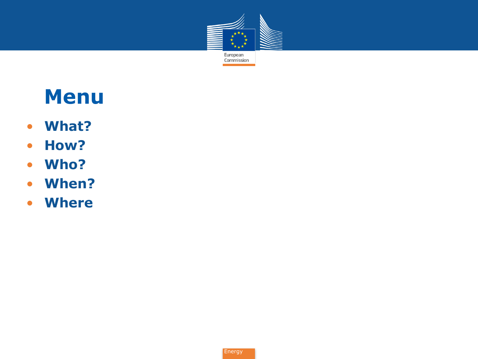

# **Menu**

- **What?**
- **How?**
- **Who?**
- **When?**
- **Where**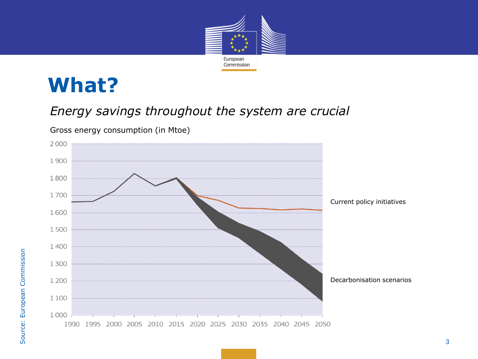

## **What?**

#### *Energy savings throughout the system are crucial*



Gross energy consumption (in Mtoe)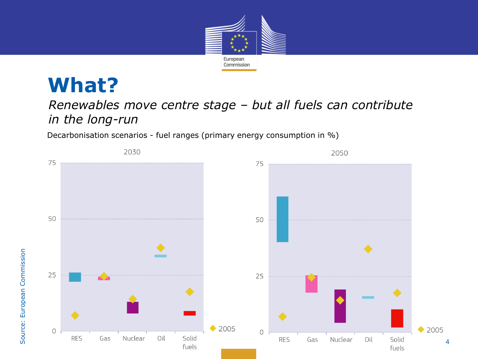

# **What?**

#### *Renewables move centre stage – but all fuels can contribute in the long-run*

Decarbonisation scenarios - fuel ranges (primary energy consumption in %)

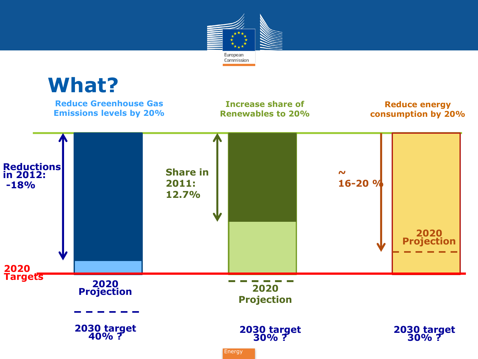

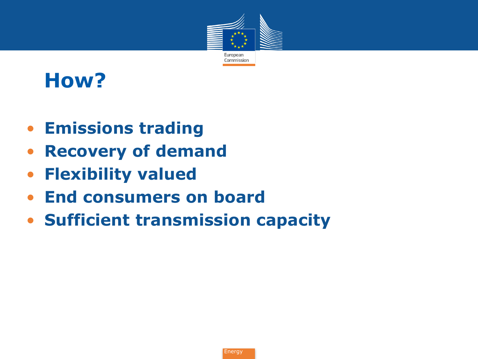

# **How?**

- **Emissions trading**
- **Recovery of demand**
- **Flexibility valued**
- **End consumers on board**
- **Sufficient transmission capacity**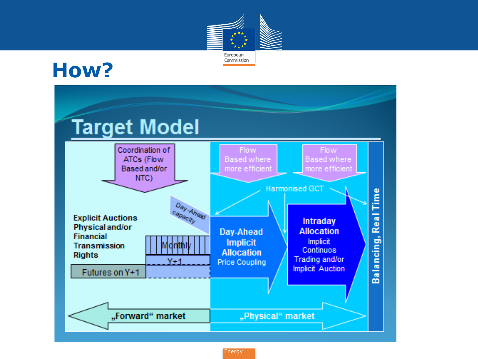

## **How?**

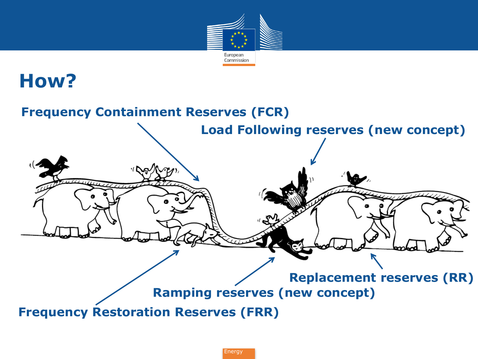

### **How?**

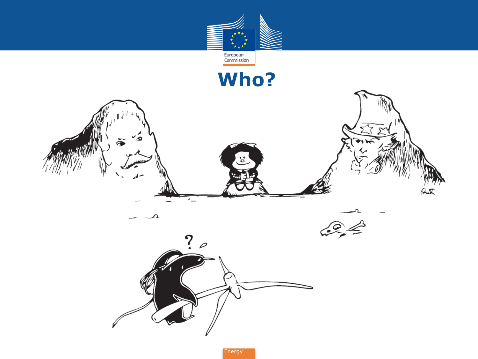

**Who?**

់ដូ

 $\mathcal{A}$ 

 $\bar{\mathbf{a}}$ 

π

 $\ddot{?}$  $\varphi$ 

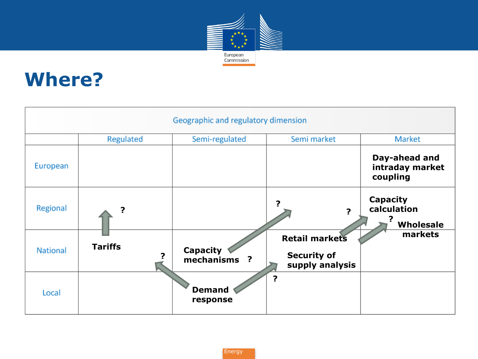

## **Where?**

| Geographic and regulatory dimension |                |                                 |                                                                |                                              |
|-------------------------------------|----------------|---------------------------------|----------------------------------------------------------------|----------------------------------------------|
|                                     | Regulated      | Semi-regulated                  | Semi market                                                    | Market                                       |
| European                            |                |                                 |                                                                | Day-ahead and<br>intraday market<br>coupling |
| Regional                            |                |                                 | 7<br>2                                                         | <b>Capacity</b><br>calculation<br>Wholesale  |
| <b>National</b>                     | <b>Tariffs</b> | <b>Capacity</b><br>mechanisms ? | <b>Retail markets</b><br><b>Security of</b><br>supply analysis | markets                                      |
| Local                               |                | <b>Demand</b><br>response       | 2                                                              |                                              |